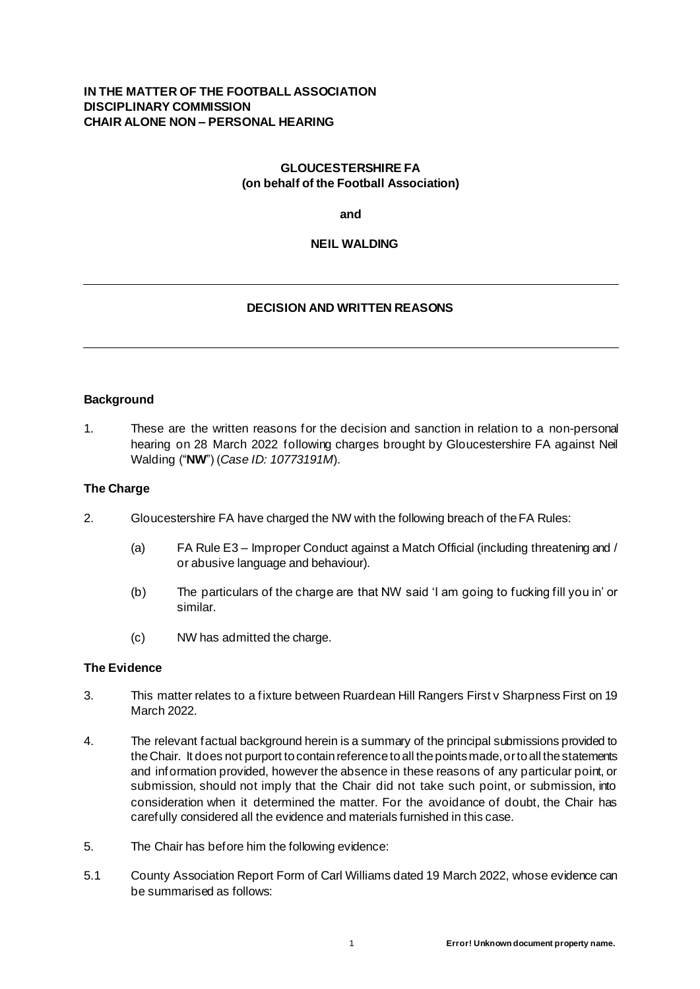## **IN THE MATTER OF THE FOOTBALL ASSOCIATION DISCIPLINARY COMMISSION CHAIR ALONE NON – PERSONAL HEARING**

## **GLOUCESTERSHIRE FA (on behalf of the Football Association)**

**and**

## **NEIL WALDING**

# **DECISION AND WRITTEN REASONS**

#### **Background**

1. These are the written reasons for the decision and sanction in relation to a non-personal hearing on 28 March 2022 following charges brought by Gloucestershire FA against Neil Walding ("**NW**") (*Case ID: 10773191M*).

#### **The Charge**

- 2. Gloucestershire FA have charged the NW with the following breach of the FA Rules:
	- (a) FA Rule E3 Improper Conduct against a Match Official (including threatening and / or abusive language and behaviour).
	- (b) The particulars of the charge are that NW said 'I am going to fucking fill you in' or similar.
	- (c) NW has admitted the charge.

#### **The Evidence**

- 3. This matter relates to a fixture between Ruardean Hill Rangers First v Sharpness First on 19 March 2022.
- 4. The relevant factual background herein is a summary of the principal submissions provided to the Chair. It does not purport to contain reference to all the points made, or to all the statements and information provided, however the absence in these reasons of any particular point, or submission, should not imply that the Chair did not take such point, or submission, into consideration when it determined the matter. For the avoidance of doubt, the Chair has carefully considered all the evidence and materials furnished in this case.
- 5. The Chair has before him the following evidence:
- 5.1 County Association Report Form of Carl Williams dated 19 March 2022, whose evidence can be summarised as follows: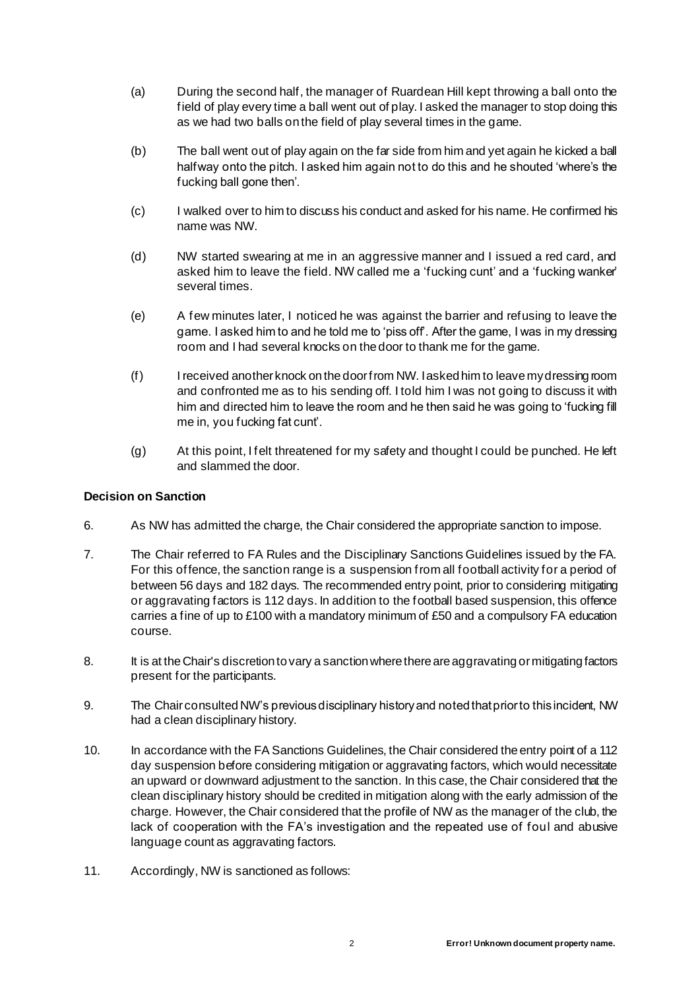- (a) During the second half, the manager of Ruardean Hill kept throwing a ball onto the field of play every time a ball went out of play. I asked the manager to stop doing this as we had two balls on the field of play several times in the game.
- (b) The ball went out of play again on the far side from him and yet again he kicked a ball halfway onto the pitch. I asked him again not to do this and he shouted 'where's the fucking ball gone then'.
- (c) I walked over to him to discuss his conduct and asked for his name. He confirmed his name was NW.
- (d) NW started swearing at me in an aggressive manner and I issued a red card, and asked him to leave the field. NW called me a 'fucking cunt' and a 'fucking wanker' several times.
- (e) A few minutes later, I noticed he was against the barrier and refusing to leave the game. I asked him to and he told me to 'piss off'. After the game, I was in my dressing room and I had several knocks on the door to thank me for the game.
- (f) I received another knock on the door from NW. I asked him to leave my dressing room and confronted me as to his sending off. I told him I was not going to discuss it with him and directed him to leave the room and he then said he was going to 'fucking fill me in, you fucking fat cunt'.
- (g) At this point, I felt threatened for my safety and thought I could be punched. He left and slammed the door.

## **Decision on Sanction**

- 6. As NW has admitted the charge, the Chair considered the appropriate sanction to impose.
- 7. The Chair referred to FA Rules and the Disciplinary Sanctions Guidelines issued by the FA. For this offence, the sanction range is a suspension from all football activity for a period of between 56 days and 182 days. The recommended entry point, prior to considering mitigating or aggravating factors is 112 days. In addition to the football based suspension, this offence carries a fine of up to £100 with a mandatory minimum of £50 and a compulsory FA education course.
- 8. It is at the Chair's discretion to vary a sanction where there are aggravating or mitigating factors present for the participants.
- 9. The Chair consulted NW's previous disciplinary history and noted that prior to this incident, NW had a clean disciplinary history.
- 10. In accordance with the FA Sanctions Guidelines, the Chair considered the entry point of a 112 day suspension before considering mitigation or aggravating factors, which would necessitate an upward or downward adjustment to the sanction. In this case, the Chair considered that the clean disciplinary history should be credited in mitigation along with the early admission of the charge. However, the Chair considered that the profile of NW as the manager of the club, the lack of cooperation with the FA's investigation and the repeated use of foul and abusive language count as aggravating factors.
- 11. Accordingly, NW is sanctioned as follows: